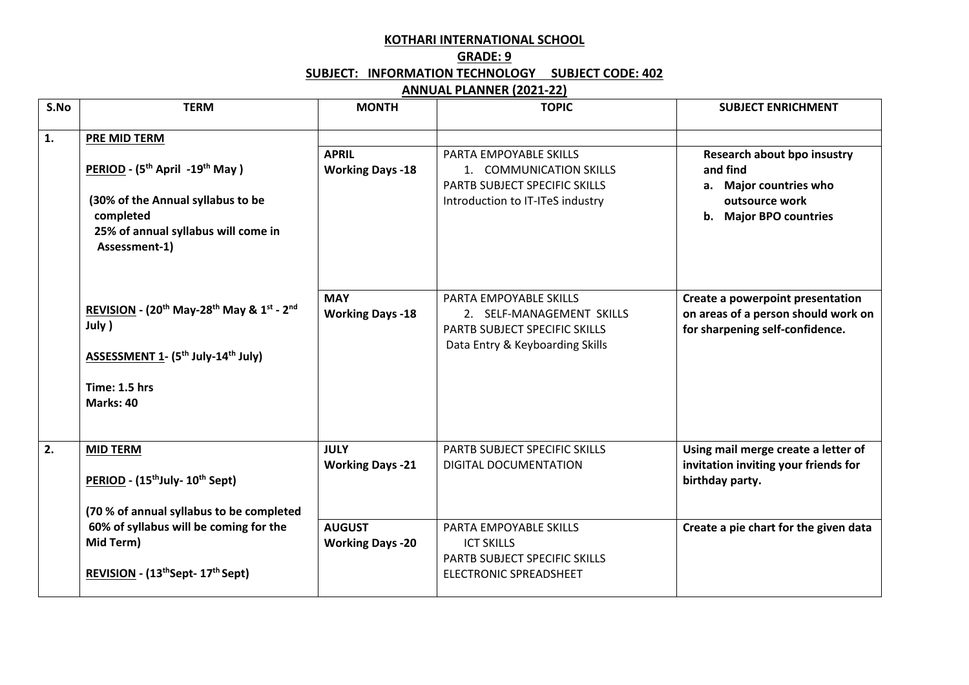## **KOTHARI INTERNATIONAL SCHOOL**

## **GRADE: 9 SUBJECT: INFORMATION TECHNOLOGY SUBJECT CODE: 402**

## **ANNUAL PLANNER (2021-22)**

| S.No | <b>TERM</b>                                                                               | <b>MONTH</b>            | <b>TOPIC</b>                     | <b>SUBJECT ENRICHMENT</b>                               |
|------|-------------------------------------------------------------------------------------------|-------------------------|----------------------------------|---------------------------------------------------------|
| 1.   | PRE MID TERM                                                                              |                         |                                  |                                                         |
|      |                                                                                           | <b>APRIL</b>            | PARTA EMPOYABLE SKILLS           | <b>Research about bpo insustry</b>                      |
|      | PERIOD - (5 <sup>th</sup> April -19 <sup>th</sup> May)                                    | <b>Working Days -18</b> | 1. COMMUNICATION SKILLS          | and find                                                |
|      |                                                                                           |                         | PARTB SUBJECT SPECIFIC SKILLS    | a. Major countries who                                  |
|      | (30% of the Annual syllabus to be                                                         |                         | Introduction to IT-ITeS industry | outsource work                                          |
|      | completed<br>25% of annual syllabus will come in                                          |                         |                                  | b. Major BPO countries                                  |
|      | Assessment-1)                                                                             |                         |                                  |                                                         |
|      |                                                                                           |                         |                                  |                                                         |
|      |                                                                                           | <b>MAY</b>              | <b>PARTA EMPOYABLE SKILLS</b>    | Create a powerpoint presentation                        |
|      | REVISION - (20 <sup>th</sup> May-28 <sup>th</sup> May & 1 <sup>st</sup> - 2 <sup>nd</sup> | <b>Working Days -18</b> | 2. SELF-MANAGEMENT SKILLS        | on areas of a person should work on                     |
|      | July )                                                                                    |                         | PARTB SUBJECT SPECIFIC SKILLS    | for sharpening self-confidence.                         |
|      | <b>ASSESSMENT 1- (5th July-14th July)</b>                                                 |                         | Data Entry & Keyboarding Skills  |                                                         |
|      |                                                                                           |                         |                                  |                                                         |
|      | Time: 1.5 hrs<br>Marks: 40                                                                |                         |                                  |                                                         |
|      |                                                                                           |                         |                                  |                                                         |
|      |                                                                                           |                         |                                  |                                                         |
| 2.   | <b>MID TERM</b>                                                                           | <b>JULY</b>             | PARTB SUBJECT SPECIFIC SKILLS    | Using mail merge create a letter of                     |
|      | PERIOD - (15 <sup>th</sup> July- 10 <sup>th</sup> Sept)                                   | <b>Working Days -21</b> | DIGITAL DOCUMENTATION            | invitation inviting your friends for<br>birthday party. |
|      |                                                                                           |                         |                                  |                                                         |
|      | (70 % of annual syllabus to be completed                                                  |                         |                                  |                                                         |
|      | 60% of syllabus will be coming for the                                                    | <b>AUGUST</b>           | PARTA EMPOYABLE SKILLS           | Create a pie chart for the given data                   |
|      | Mid Term)                                                                                 | <b>Working Days -20</b> | <b>ICT SKILLS</b>                |                                                         |
|      |                                                                                           |                         | PARTB SUBJECT SPECIFIC SKILLS    |                                                         |
|      | REVISION - (13 <sup>th</sup> Sept- 17 <sup>th</sup> Sept)                                 |                         | ELECTRONIC SPREADSHEET           |                                                         |